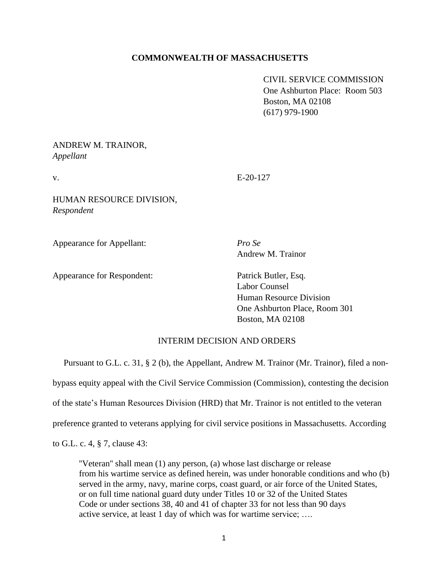## **COMMONWEALTH OF MASSACHUSETTS**

CIVIL SERVICE COMMISSION One Ashburton Place: Room 503 Boston, MA 02108 (617) 979-1900

## ANDREW M. TRAINOR, *Appellant*

v. E-20-127

HUMAN RESOURCE DIVISION, *Respondent*

Appearance for Appellant: *Pro Se*

Appearance for Respondent: Patrick Butler, Esq.

Andrew M. Trainor

Labor Counsel Human Resource Division One Ashburton Place, Room 301 Boston, MA 02108

## INTERIM DECISION AND ORDERS

Pursuant to G.L. c. 31, § 2 (b), the Appellant, Andrew M. Trainor (Mr. Trainor), filed a nonbypass equity appeal with the Civil Service Commission (Commission), contesting the decision of the state's Human Resources Division (HRD) that Mr. Trainor is not entitled to the veteran preference granted to veterans applying for civil service positions in Massachusetts. According

to G.L. c. 4, § 7, clause 43:

''Veteran'' shall mean (1) any person, (a) whose last discharge or release from his wartime service as defined herein, was under honorable conditions and who (b) served in the army, navy, marine corps, coast guard, or air force of the United States, or on full time national guard duty under Titles 10 or 32 of the United States Code or under sections 38, 40 and 41 of chapter 33 for not less than 90 days active service, at least 1 day of which was for wartime service; ….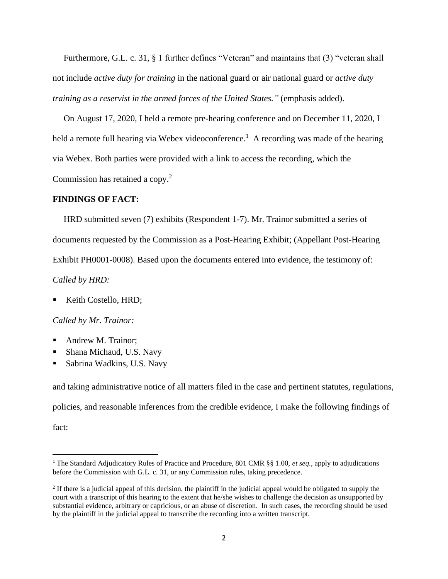Furthermore, G.L. c. 31, § 1 further defines "Veteran" and maintains that (3) "veteran shall not include *active duty for training* in the national guard or air national guard or *active duty training as a reservist in the armed forces of the United States."* (emphasis added).

 On August 17, 2020, I held a remote pre-hearing conference and on December 11, 2020, I held a remote full hearing via Webex videoconference.<sup>1</sup> A recording was made of the hearing via Webex. Both parties were provided with a link to access the recording, which the Commission has retained a copy.<sup>2</sup>

### **FINDINGS OF FACT:**

 HRD submitted seven (7) exhibits (Respondent 1-7). Mr. Trainor submitted a series of documents requested by the Commission as a Post-Hearing Exhibit; (Appellant Post-Hearing Exhibit PH0001-0008). Based upon the documents entered into evidence, the testimony of: *Called by HRD:*

Keith Costello, HRD;

*Called by Mr. Trainor:*

- Andrew M. Trainor:
- Shana Michaud, U.S. Navy
- Sabrina Wadkins, U.S. Navy

and taking administrative notice of all matters filed in the case and pertinent statutes, regulations, policies, and reasonable inferences from the credible evidence, I make the following findings of fact:

<sup>1</sup> The Standard Adjudicatory Rules of Practice and Procedure, 801 CMR §§ 1.00, *et seq.*, apply to adjudications before the Commission with G.L. c. 31, or any Commission rules, taking precedence.

 $2$  If there is a judicial appeal of this decision, the plaintiff in the judicial appeal would be obligated to supply the court with a transcript of this hearing to the extent that he/she wishes to challenge the decision as unsupported by substantial evidence, arbitrary or capricious, or an abuse of discretion. In such cases, the recording should be used by the plaintiff in the judicial appeal to transcribe the recording into a written transcript.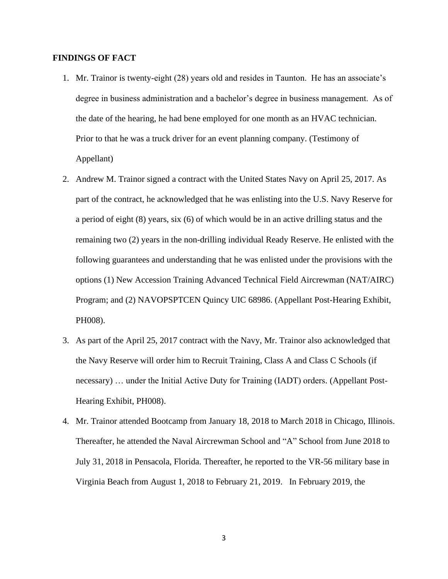### **FINDINGS OF FACT**

- 1. Mr. Trainor is twenty-eight (28) years old and resides in Taunton. He has an associate's degree in business administration and a bachelor's degree in business management. As of the date of the hearing, he had bene employed for one month as an HVAC technician. Prior to that he was a truck driver for an event planning company. (Testimony of Appellant)
- 2. Andrew M. Trainor signed a contract with the United States Navy on April 25, 2017. As part of the contract, he acknowledged that he was enlisting into the U.S. Navy Reserve for a period of eight (8) years, six (6) of which would be in an active drilling status and the remaining two (2) years in the non-drilling individual Ready Reserve. He enlisted with the following guarantees and understanding that he was enlisted under the provisions with the options (1) New Accession Training Advanced Technical Field Aircrewman (NAT/AIRC) Program; and (2) NAVOPSPTCEN Quincy UIC 68986. (Appellant Post-Hearing Exhibit, PH008).
- 3. As part of the April 25, 2017 contract with the Navy, Mr. Trainor also acknowledged that the Navy Reserve will order him to Recruit Training, Class A and Class C Schools (if necessary) … under the Initial Active Duty for Training (IADT) orders. (Appellant Post-Hearing Exhibit, PH008).
- 4. Mr. Trainor attended Bootcamp from January 18, 2018 to March 2018 in Chicago, Illinois. Thereafter, he attended the Naval Aircrewman School and "A" School from June 2018 to July 31, 2018 in Pensacola, Florida. Thereafter, he reported to the VR-56 military base in Virginia Beach from August 1, 2018 to February 21, 2019. In February 2019, the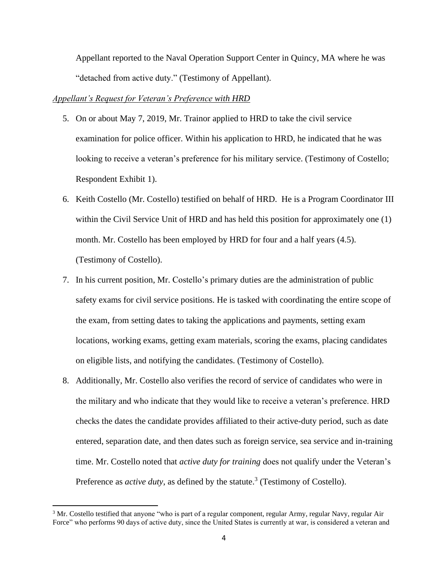Appellant reported to the Naval Operation Support Center in Quincy, MA where he was "detached from active duty." (Testimony of Appellant).

### *Appellant's Request for Veteran's Preference with HRD*

- 5. On or about May 7, 2019, Mr. Trainor applied to HRD to take the civil service examination for police officer. Within his application to HRD, he indicated that he was looking to receive a veteran's preference for his military service. (Testimony of Costello; Respondent Exhibit 1).
- 6. Keith Costello (Mr. Costello) testified on behalf of HRD. He is a Program Coordinator III within the Civil Service Unit of HRD and has held this position for approximately one (1) month. Mr. Costello has been employed by HRD for four and a half years (4.5). (Testimony of Costello).
- 7. In his current position, Mr. Costello's primary duties are the administration of public safety exams for civil service positions. He is tasked with coordinating the entire scope of the exam, from setting dates to taking the applications and payments, setting exam locations, working exams, getting exam materials, scoring the exams, placing candidates on eligible lists, and notifying the candidates. (Testimony of Costello).
- 8. Additionally, Mr. Costello also verifies the record of service of candidates who were in the military and who indicate that they would like to receive a veteran's preference. HRD checks the dates the candidate provides affiliated to their active-duty period, such as date entered, separation date, and then dates such as foreign service, sea service and in-training time. Mr. Costello noted that *active duty for training* does not qualify under the Veteran's Preference as *active duty*, as defined by the statute.<sup>3</sup> (Testimony of Costello).

<sup>&</sup>lt;sup>3</sup> Mr. Costello testified that anyone "who is part of a regular component, regular Army, regular Navy, regular Air Force" who performs 90 days of active duty, since the United States is currently at war, is considered a veteran and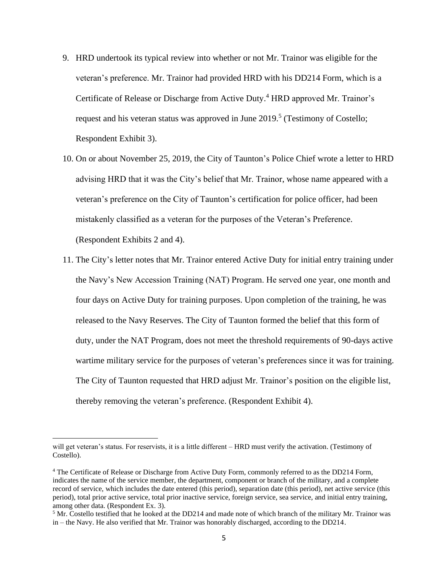- 9. HRD undertook its typical review into whether or not Mr. Trainor was eligible for the veteran's preference. Mr. Trainor had provided HRD with his DD214 Form, which is a Certificate of Release or Discharge from Active Duty. <sup>4</sup> HRD approved Mr. Trainor's request and his veteran status was approved in June  $2019$ <sup>5</sup> (Testimony of Costello; Respondent Exhibit 3).
- 10. On or about November 25, 2019, the City of Taunton's Police Chief wrote a letter to HRD advising HRD that it was the City's belief that Mr. Trainor, whose name appeared with a veteran's preference on the City of Taunton's certification for police officer, had been mistakenly classified as a veteran for the purposes of the Veteran's Preference. (Respondent Exhibits 2 and 4).
- 11. The City's letter notes that Mr. Trainor entered Active Duty for initial entry training under the Navy's New Accession Training (NAT) Program. He served one year, one month and four days on Active Duty for training purposes. Upon completion of the training, he was released to the Navy Reserves. The City of Taunton formed the belief that this form of duty, under the NAT Program, does not meet the threshold requirements of 90-days active wartime military service for the purposes of veteran's preferences since it was for training. The City of Taunton requested that HRD adjust Mr. Trainor's position on the eligible list, thereby removing the veteran's preference. (Respondent Exhibit 4).

will get veteran's status. For reservists, it is a little different – HRD must verify the activation. (Testimony of Costello).

<sup>4</sup> The Certificate of Release or Discharge from Active Duty Form, commonly referred to as the DD214 Form, indicates the name of the service member, the department, component or branch of the military, and a complete record of service, which includes the date entered (this period), separation date (this period), net active service (this period), total prior active service, total prior inactive service, foreign service, sea service, and initial entry training, among other data. (Respondent Ex. 3).

<sup>&</sup>lt;sup>5</sup> Mr. Costello testified that he looked at the DD214 and made note of which branch of the military Mr. Trainor was in – the Navy. He also verified that Mr. Trainor was honorably discharged, according to the DD214.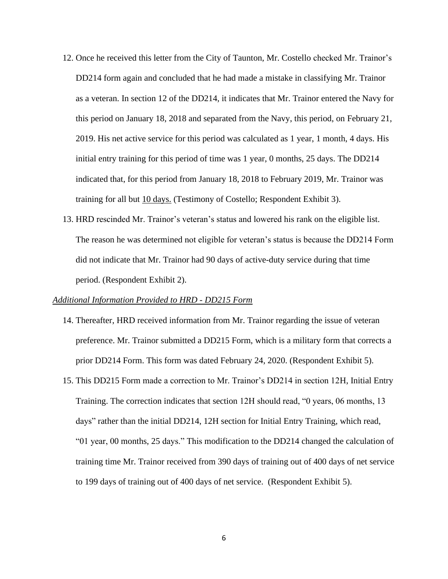- 12. Once he received this letter from the City of Taunton, Mr. Costello checked Mr. Trainor's DD214 form again and concluded that he had made a mistake in classifying Mr. Trainor as a veteran. In section 12 of the DD214, it indicates that Mr. Trainor entered the Navy for this period on January 18, 2018 and separated from the Navy, this period, on February 21, 2019. His net active service for this period was calculated as 1 year, 1 month, 4 days. His initial entry training for this period of time was 1 year, 0 months, 25 days. The DD214 indicated that, for this period from January 18, 2018 to February 2019, Mr. Trainor was training for all but 10 days. (Testimony of Costello; Respondent Exhibit 3).
- 13. HRD rescinded Mr. Trainor's veteran's status and lowered his rank on the eligible list. The reason he was determined not eligible for veteran's status is because the DD214 Form did not indicate that Mr. Trainor had 90 days of active-duty service during that time period. (Respondent Exhibit 2).

### *Additional Information Provided to HRD - DD215 Form*

- 14. Thereafter, HRD received information from Mr. Trainor regarding the issue of veteran preference. Mr. Trainor submitted a DD215 Form, which is a military form that corrects a prior DD214 Form. This form was dated February 24, 2020. (Respondent Exhibit 5).
- 15. This DD215 Form made a correction to Mr. Trainor's DD214 in section 12H, Initial Entry Training. The correction indicates that section 12H should read, "0 years, 06 months, 13 days" rather than the initial DD214, 12H section for Initial Entry Training, which read, "01 year, 00 months, 25 days." This modification to the DD214 changed the calculation of training time Mr. Trainor received from 390 days of training out of 400 days of net service to 199 days of training out of 400 days of net service. (Respondent Exhibit 5).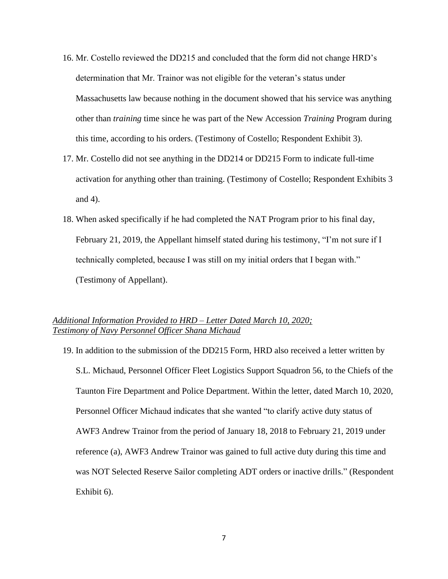- 16. Mr. Costello reviewed the DD215 and concluded that the form did not change HRD's determination that Mr. Trainor was not eligible for the veteran's status under Massachusetts law because nothing in the document showed that his service was anything other than *training* time since he was part of the New Accession *Training* Program during this time, according to his orders. (Testimony of Costello; Respondent Exhibit 3).
- 17. Mr. Costello did not see anything in the DD214 or DD215 Form to indicate full-time activation for anything other than training. (Testimony of Costello; Respondent Exhibits 3 and 4).
- 18. When asked specifically if he had completed the NAT Program prior to his final day, February 21, 2019, the Appellant himself stated during his testimony, "I'm not sure if I technically completed, because I was still on my initial orders that I began with." (Testimony of Appellant).

# *Additional Information Provided to HRD – Letter Dated March 10, 2020; Testimony of Navy Personnel Officer Shana Michaud*

19. In addition to the submission of the DD215 Form, HRD also received a letter written by S.L. Michaud, Personnel Officer Fleet Logistics Support Squadron 56, to the Chiefs of the Taunton Fire Department and Police Department. Within the letter, dated March 10, 2020, Personnel Officer Michaud indicates that she wanted "to clarify active duty status of AWF3 Andrew Trainor from the period of January 18, 2018 to February 21, 2019 under reference (a), AWF3 Andrew Trainor was gained to full active duty during this time and was NOT Selected Reserve Sailor completing ADT orders or inactive drills." (Respondent Exhibit 6).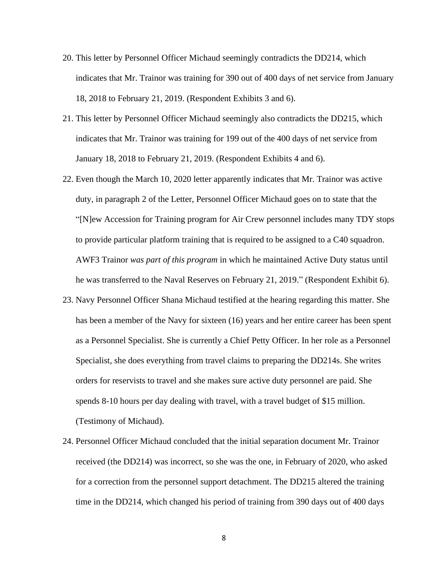- 20. This letter by Personnel Officer Michaud seemingly contradicts the DD214, which indicates that Mr. Trainor was training for 390 out of 400 days of net service from January 18, 2018 to February 21, 2019. (Respondent Exhibits 3 and 6).
- 21. This letter by Personnel Officer Michaud seemingly also contradicts the DD215, which indicates that Mr. Trainor was training for 199 out of the 400 days of net service from January 18, 2018 to February 21, 2019. (Respondent Exhibits 4 and 6).
- 22. Even though the March 10, 2020 letter apparently indicates that Mr. Trainor was active duty, in paragraph 2 of the Letter, Personnel Officer Michaud goes on to state that the "[N]ew Accession for Training program for Air Crew personnel includes many TDY stops to provide particular platform training that is required to be assigned to a C40 squadron. AWF3 Trainor *was part of this program* in which he maintained Active Duty status until he was transferred to the Naval Reserves on February 21, 2019." (Respondent Exhibit 6).
- 23. Navy Personnel Officer Shana Michaud testified at the hearing regarding this matter. She has been a member of the Navy for sixteen (16) years and her entire career has been spent as a Personnel Specialist. She is currently a Chief Petty Officer. In her role as a Personnel Specialist, she does everything from travel claims to preparing the DD214s. She writes orders for reservists to travel and she makes sure active duty personnel are paid. She spends 8-10 hours per day dealing with travel, with a travel budget of \$15 million. (Testimony of Michaud).
- 24. Personnel Officer Michaud concluded that the initial separation document Mr. Trainor received (the DD214) was incorrect, so she was the one, in February of 2020, who asked for a correction from the personnel support detachment. The DD215 altered the training time in the DD214, which changed his period of training from 390 days out of 400 days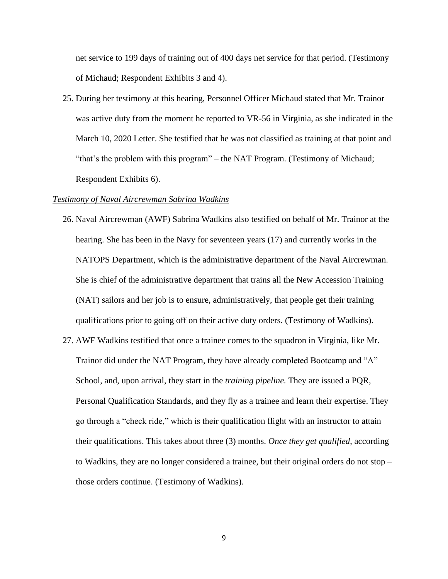net service to 199 days of training out of 400 days net service for that period. (Testimony of Michaud; Respondent Exhibits 3 and 4).

25. During her testimony at this hearing, Personnel Officer Michaud stated that Mr. Trainor was active duty from the moment he reported to VR-56 in Virginia, as she indicated in the March 10, 2020 Letter. She testified that he was not classified as training at that point and "that's the problem with this program" – the NAT Program. (Testimony of Michaud; Respondent Exhibits 6).

#### *Testimony of Naval Aircrewman Sabrina Wadkins*

- 26. Naval Aircrewman (AWF) Sabrina Wadkins also testified on behalf of Mr. Trainor at the hearing. She has been in the Navy for seventeen years (17) and currently works in the NATOPS Department, which is the administrative department of the Naval Aircrewman. She is chief of the administrative department that trains all the New Accession Training (NAT) sailors and her job is to ensure, administratively, that people get their training qualifications prior to going off on their active duty orders. (Testimony of Wadkins).
- 27. AWF Wadkins testified that once a trainee comes to the squadron in Virginia, like Mr. Trainor did under the NAT Program, they have already completed Bootcamp and "A" School, and, upon arrival, they start in the *training pipeline.* They are issued a PQR, Personal Qualification Standards, and they fly as a trainee and learn their expertise. They go through a "check ride," which is their qualification flight with an instructor to attain their qualifications. This takes about three (3) months. *Once they get qualified*, according to Wadkins, they are no longer considered a trainee, but their original orders do not stop – those orders continue. (Testimony of Wadkins).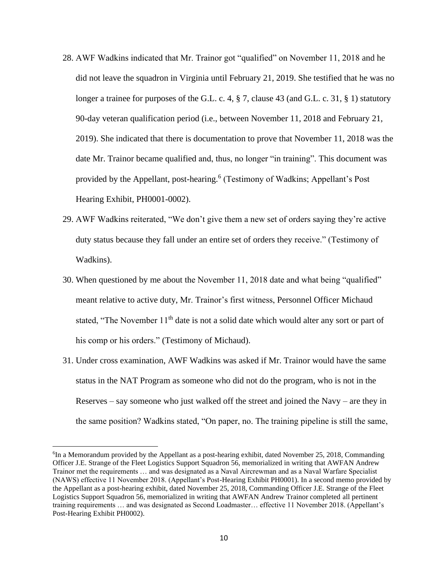- 28. AWF Wadkins indicated that Mr. Trainor got "qualified" on November 11, 2018 and he did not leave the squadron in Virginia until February 21, 2019. She testified that he was no longer a trainee for purposes of the G.L. c. 4,  $\S$  7, clause 43 (and G.L. c. 31,  $\S$  1) statutory 90-day veteran qualification period (i.e., between November 11, 2018 and February 21, 2019). She indicated that there is documentation to prove that November 11, 2018 was the date Mr. Trainor became qualified and, thus, no longer "in training". This document was provided by the Appellant, post-hearing.<sup>6</sup> (Testimony of Wadkins; Appellant's Post Hearing Exhibit, PH0001-0002).
- 29. AWF Wadkins reiterated, "We don't give them a new set of orders saying they're active duty status because they fall under an entire set of orders they receive." (Testimony of Wadkins).
- 30. When questioned by me about the November 11, 2018 date and what being "qualified" meant relative to active duty, Mr. Trainor's first witness, Personnel Officer Michaud stated, "The November 11<sup>th</sup> date is not a solid date which would alter any sort or part of his comp or his orders." (Testimony of Michaud).
- 31. Under cross examination, AWF Wadkins was asked if Mr. Trainor would have the same status in the NAT Program as someone who did not do the program, who is not in the Reserves – say someone who just walked off the street and joined the Navy – are they in the same position? Wadkins stated, "On paper, no. The training pipeline is still the same,

<sup>&</sup>lt;sup>6</sup>In a Memorandum provided by the Appellant as a post-hearing exhibit, dated November 25, 2018, Commanding Officer J.E. Strange of the Fleet Logistics Support Squadron 56, memorialized in writing that AWFAN Andrew Trainor met the requirements … and was designated as a Naval Aircrewman and as a Naval Warfare Specialist (NAWS) effective 11 November 2018. (Appellant's Post-Hearing Exhibit PH0001). In a second memo provided by the Appellant as a post-hearing exhibit, dated November 25, 2018, Commanding Officer J.E. Strange of the Fleet Logistics Support Squadron 56, memorialized in writing that AWFAN Andrew Trainor completed all pertinent training requirements … and was designated as Second Loadmaster… effective 11 November 2018. (Appellant's Post-Hearing Exhibit PH0002).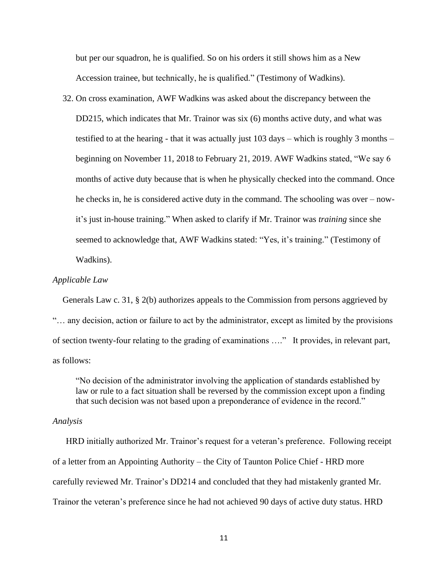but per our squadron, he is qualified. So on his orders it still shows him as a New Accession trainee, but technically, he is qualified." (Testimony of Wadkins).

32. On cross examination, AWF Wadkins was asked about the discrepancy between the DD215, which indicates that Mr. Trainor was six (6) months active duty, and what was testified to at the hearing - that it was actually just 103 days – which is roughly 3 months – beginning on November 11, 2018 to February 21, 2019. AWF Wadkins stated, "We say 6 months of active duty because that is when he physically checked into the command. Once he checks in, he is considered active duty in the command. The schooling was over – nowit's just in-house training." When asked to clarify if Mr. Trainor was *training* since she seemed to acknowledge that, AWF Wadkins stated: "Yes, it's training." (Testimony of Wadkins).

#### *Applicable Law*

Generals Law c. 31, § 2(b) authorizes appeals to the Commission from persons aggrieved by "… any decision, action or failure to act by the administrator, except as limited by the provisions of section twenty-four relating to the grading of examinations …." It provides, in relevant part, as follows:

"No decision of the administrator involving the application of standards established by law or rule to a fact situation shall be reversed by the commission except upon a finding that such decision was not based upon a preponderance of evidence in the record."

#### *Analysis*

 HRD initially authorized Mr. Trainor's request for a veteran's preference. Following receipt of a letter from an Appointing Authority – the City of Taunton Police Chief - HRD more carefully reviewed Mr. Trainor's DD214 and concluded that they had mistakenly granted Mr. Trainor the veteran's preference since he had not achieved 90 days of active duty status. HRD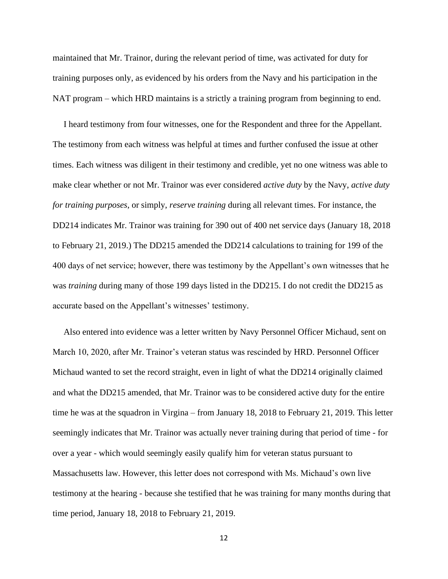maintained that Mr. Trainor, during the relevant period of time, was activated for duty for training purposes only, as evidenced by his orders from the Navy and his participation in the NAT program – which HRD maintains is a strictly a training program from beginning to end.

 I heard testimony from four witnesses, one for the Respondent and three for the Appellant. The testimony from each witness was helpful at times and further confused the issue at other times. Each witness was diligent in their testimony and credible, yet no one witness was able to make clear whether or not Mr. Trainor was ever considered *active duty* by the Navy, *active duty for training purposes*, or simply, *reserve training* during all relevant times. For instance, the DD214 indicates Mr. Trainor was training for 390 out of 400 net service days (January 18, 2018 to February 21, 2019.) The DD215 amended the DD214 calculations to training for 199 of the 400 days of net service; however, there was testimony by the Appellant's own witnesses that he was *training* during many of those 199 days listed in the DD215. I do not credit the DD215 as accurate based on the Appellant's witnesses' testimony.

 Also entered into evidence was a letter written by Navy Personnel Officer Michaud, sent on March 10, 2020, after Mr. Trainor's veteran status was rescinded by HRD. Personnel Officer Michaud wanted to set the record straight, even in light of what the DD214 originally claimed and what the DD215 amended, that Mr. Trainor was to be considered active duty for the entire time he was at the squadron in Virgina – from January 18, 2018 to February 21, 2019. This letter seemingly indicates that Mr. Trainor was actually never training during that period of time - for over a year - which would seemingly easily qualify him for veteran status pursuant to Massachusetts law. However, this letter does not correspond with Ms. Michaud's own live testimony at the hearing - because she testified that he was training for many months during that time period, January 18, 2018 to February 21, 2019.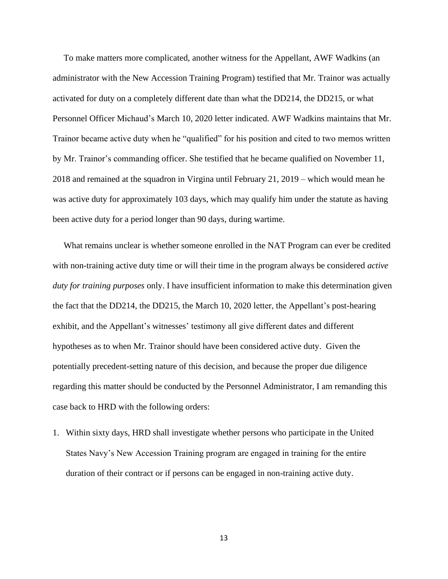To make matters more complicated, another witness for the Appellant, AWF Wadkins (an administrator with the New Accession Training Program) testified that Mr. Trainor was actually activated for duty on a completely different date than what the DD214, the DD215, or what Personnel Officer Michaud's March 10, 2020 letter indicated. AWF Wadkins maintains that Mr. Trainor became active duty when he "qualified" for his position and cited to two memos written by Mr. Trainor's commanding officer. She testified that he became qualified on November 11, 2018 and remained at the squadron in Virgina until February 21, 2019 – which would mean he was active duty for approximately 103 days, which may qualify him under the statute as having been active duty for a period longer than 90 days, during wartime.

 What remains unclear is whether someone enrolled in the NAT Program can ever be credited with non-training active duty time or will their time in the program always be considered *active duty for training purposes* only. I have insufficient information to make this determination given the fact that the DD214, the DD215, the March 10, 2020 letter, the Appellant's post-hearing exhibit, and the Appellant's witnesses' testimony all give different dates and different hypotheses as to when Mr. Trainor should have been considered active duty. Given the potentially precedent-setting nature of this decision, and because the proper due diligence regarding this matter should be conducted by the Personnel Administrator, I am remanding this case back to HRD with the following orders:

1. Within sixty days, HRD shall investigate whether persons who participate in the United States Navy's New Accession Training program are engaged in training for the entire duration of their contract or if persons can be engaged in non-training active duty.